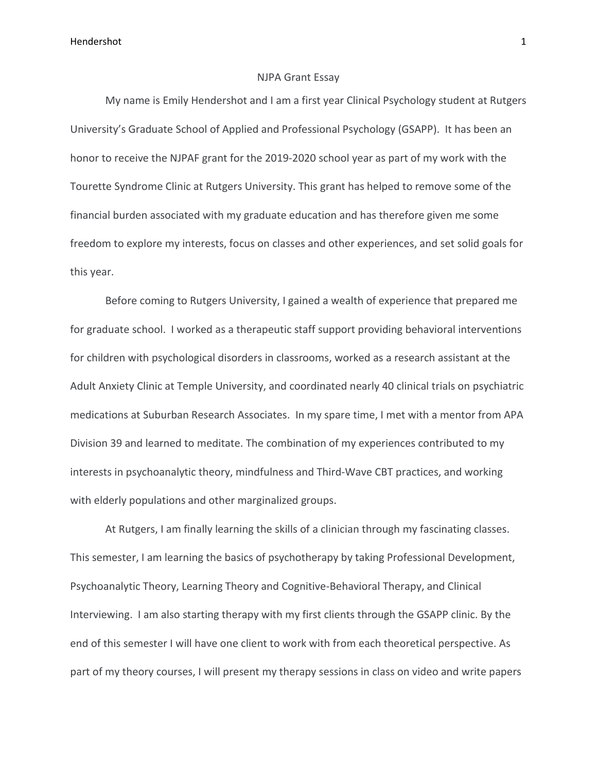## NJPA Grant Essay

My name is Emily Hendershot and I am a first year Clinical Psychology student at Rutgers University's Graduate School of Applied and Professional Psychology (GSAPP). It has been an honor to receive the NJPAF grant for the 2019-2020 school year as part of my work with the Tourette Syndrome Clinic at Rutgers University. This grant has helped to remove some of the financial burden associated with my graduate education and has therefore given me some freedom to explore my interests, focus on classes and other experiences, and set solid goals for this year.

Before coming to Rutgers University, I gained a wealth of experience that prepared me for graduate school. I worked as a therapeutic staff support providing behavioral interventions for children with psychological disorders in classrooms, worked as a research assistant at the Adult Anxiety Clinic at Temple University, and coordinated nearly 40 clinical trials on psychiatric medications at Suburban Research Associates. In my spare time, I met with a mentor from APA Division 39 and learned to meditate. The combination of my experiences contributed to my interests in psychoanalytic theory, mindfulness and Third-Wave CBT practices, and working with elderly populations and other marginalized groups.

At Rutgers, I am finally learning the skills of a clinician through my fascinating classes. This semester, I am learning the basics of psychotherapy by taking Professional Development, Psychoanalytic Theory, Learning Theory and Cognitive-Behavioral Therapy, and Clinical Interviewing. I am also starting therapy with my first clients through the GSAPP clinic. By the end of this semester I will have one client to work with from each theoretical perspective. As part of my theory courses, I will present my therapy sessions in class on video and write papers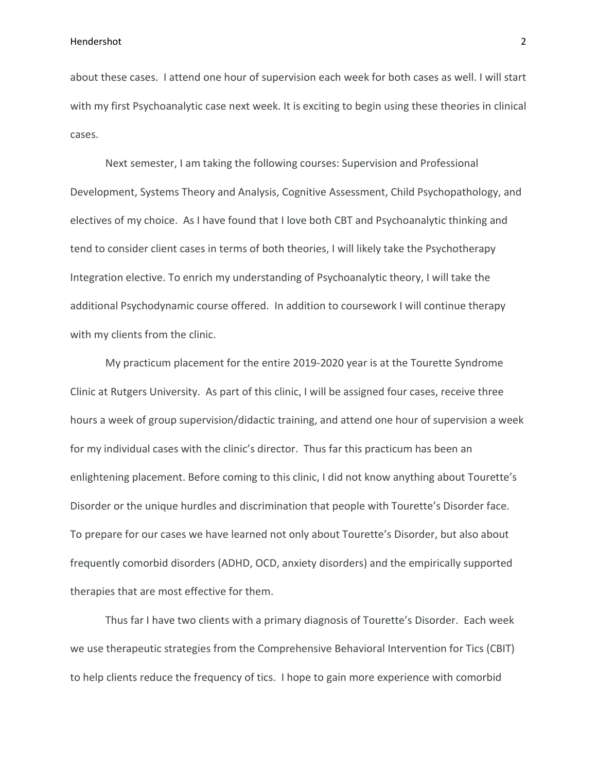about these cases. I attend one hour of supervision each week for both cases as well. I will start with my first Psychoanalytic case next week. It is exciting to begin using these theories in clinical cases.

Next semester, I am taking the following courses: Supervision and Professional Development, Systems Theory and Analysis, Cognitive Assessment, Child Psychopathology, and electives of my choice. As I have found that I love both CBT and Psychoanalytic thinking and tend to consider client cases in terms of both theories, I will likely take the Psychotherapy Integration elective. To enrich my understanding of Psychoanalytic theory, I will take the additional Psychodynamic course offered. In addition to coursework I will continue therapy with my clients from the clinic.

My practicum placement for the entire 2019-2020 year is at the Tourette Syndrome Clinic at Rutgers University. As part of this clinic, I will be assigned four cases, receive three hours a week of group supervision/didactic training, and attend one hour of supervision a week for my individual cases with the clinic's director. Thus far this practicum has been an enlightening placement. Before coming to this clinic, I did not know anything about Tourette's Disorder or the unique hurdles and discrimination that people with Tourette's Disorder face. To prepare for our cases we have learned not only about Tourette's Disorder, but also about frequently comorbid disorders (ADHD, OCD, anxiety disorders) and the empirically supported therapies that are most effective for them.

Thus far I have two clients with a primary diagnosis of Tourette's Disorder. Each week we use therapeutic strategies from the Comprehensive Behavioral Intervention for Tics (CBIT) to help clients reduce the frequency of tics. I hope to gain more experience with comorbid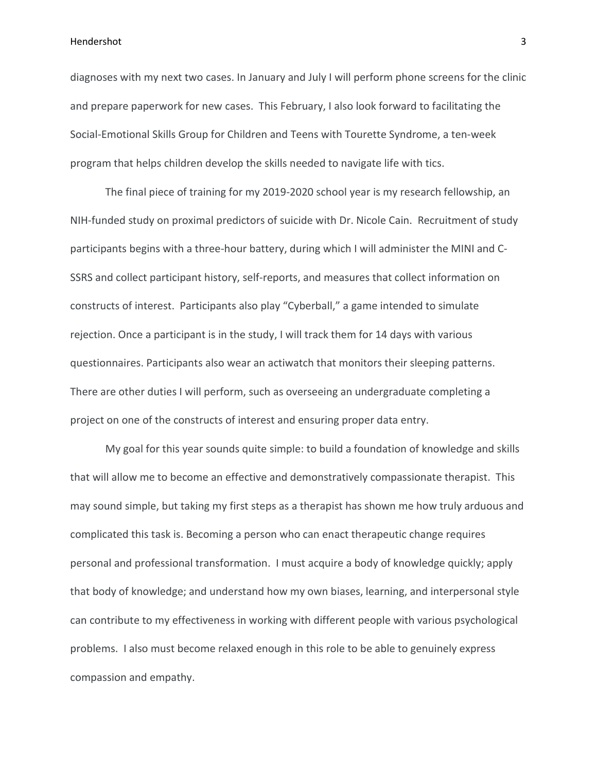diagnoses with my next two cases. In January and July I will perform phone screens for the clinic and prepare paperwork for new cases. This February, I also look forward to facilitating the Social-Emotional Skills Group for Children and Teens with Tourette Syndrome, a ten-week program that helps children develop the skills needed to navigate life with tics.

The final piece of training for my 2019-2020 school year is my research fellowship, an NIH-funded study on proximal predictors of suicide with Dr. Nicole Cain. Recruitment of study participants begins with a three-hour battery, during which I will administer the MINI and C-SSRS and collect participant history, self-reports, and measures that collect information on constructs of interest. Participants also play "Cyberball," a game intended to simulate rejection. Once a participant is in the study, I will track them for 14 days with various questionnaires. Participants also wear an actiwatch that monitors their sleeping patterns. There are other duties I will perform, such as overseeing an undergraduate completing a project on one of the constructs of interest and ensuring proper data entry.

My goal for this year sounds quite simple: to build a foundation of knowledge and skills that will allow me to become an effective and demonstratively compassionate therapist. This may sound simple, but taking my first steps as a therapist has shown me how truly arduous and complicated this task is. Becoming a person who can enact therapeutic change requires personal and professional transformation. I must acquire a body of knowledge quickly; apply that body of knowledge; and understand how my own biases, learning, and interpersonal style can contribute to my effectiveness in working with different people with various psychological problems. I also must become relaxed enough in this role to be able to genuinely express compassion and empathy.